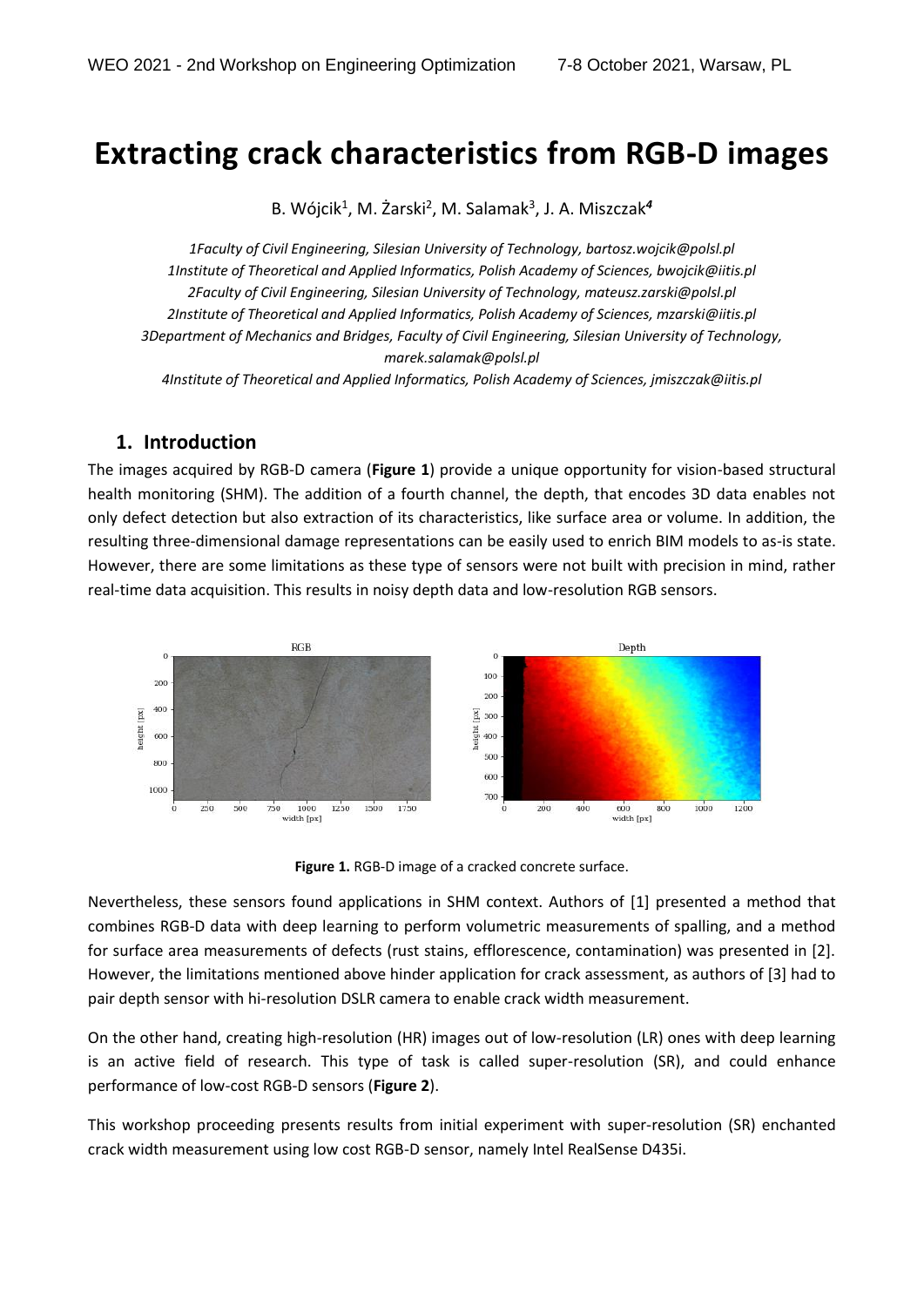## **Extracting crack characteristics from RGB-D images**

B. Wójcik<sup>1</sup>, M. Żarski<sup>2</sup>, M. Salamak<sup>3</sup>, J. A. Miszczak<sup>4</sup>

*1Faculty of Civil Engineering, Silesian University of Technology, bartosz.wojcik@polsl.pl 1Institute of Theoretical and Applied Informatics, Polish Academy of Sciences, bwojcik@iitis.pl 2Faculty of Civil Engineering, Silesian University of Technology, mateusz.zarski@polsl.pl 2Institute of Theoretical and Applied Informatics, Polish Academy of Sciences, mzarski@iitis.pl 3Department of Mechanics and Bridges, Faculty of Civil Engineering, Silesian University of Technology, marek.salamak@polsl.pl 4Institute of Theoretical and Applied Informatics, Polish Academy of Sciences, jmiszczak@iitis.pl* 

## **1. Introduction**

The images acquired by RGB-D camera (**Figure 1**) provide a unique opportunity for vision-based structural health monitoring (SHM). The addition of a fourth channel, the depth, that encodes 3D data enables not only defect detection but also extraction of its characteristics, like surface area or volume. In addition, the resulting three-dimensional damage representations can be easily used to enrich BIM models to as-is state. However, there are some limitations as these type of sensors were not built with precision in mind, rather real-time data acquisition. This results in noisy depth data and low-resolution RGB sensors.



**Figure 1.** RGB-D image of a cracked concrete surface.

Nevertheless, these sensors found applications in SHM context. Authors of [1] presented a method that combines RGB-D data with deep learning to perform volumetric measurements of spalling, and a method for surface area measurements of defects (rust stains, efflorescence, contamination) was presented in [2]. However, the limitations mentioned above hinder application for crack assessment, as authors of [3] had to pair depth sensor with hi-resolution DSLR camera to enable crack width measurement.

On the other hand, creating high-resolution (HR) images out of low-resolution (LR) ones with deep learning is an active field of research. This type of task is called super-resolution (SR), and could enhance performance of low-cost RGB-D sensors (**Figure 2**).

This workshop proceeding presents results from initial experiment with super-resolution (SR) enchanted crack width measurement using low cost RGB-D sensor, namely Intel RealSense D435i.